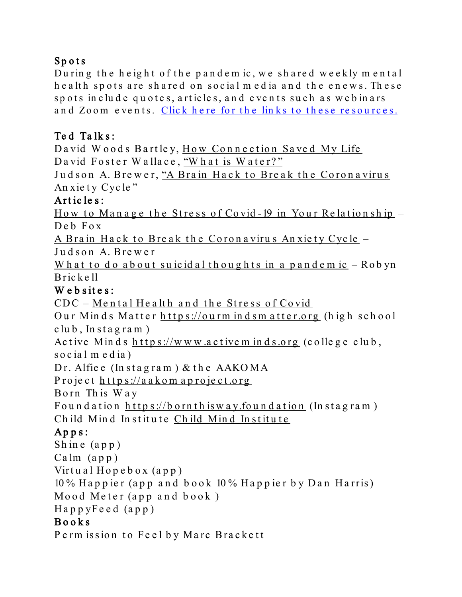# Spots

During the height of the pandem ic, we shared weekly mental health spots are shared on social media and the enews. These spots in clude quotes, articles, and events such as web inars and Zoom events. Click here for the links to these [resources.](https://trinityarlington.org/mental-health-spot/)

### Te d Ta lk s :

David Woods Bartley, How Connection Saved My Life David Foster Wallace, "What is [Water?"](http://www.youtube.com/watch?v=ms2BvRbjOYo)

Judson A. Brewer, "A Brain Hack to Break the Coronavirus An xie ty Cycle"

#### Art icle s:

How to Manage the Stress of Covid-19 in Your Relationship – Deb Fox

A Brain Hack to Break the Coronavirus Anxiety Cycle -

Judson A. Brewer

What to do about suicidal thoughts in a pandem  $ic$  – Robyn Bricke ll

#### We b sites:

 $CDC - Mental Headth$  $CDC - Mental Headth$  $CDC - Mental Headth$  and the Stress of  $Covid$ 

Our Minds Matter https://ourm indsmatter.org (high school  $club, In stagram)$ 

Active Minds  $\frac{h \cdot t}{p \cdot s}$ ://www.activem inds.org (college club, social media)

Dr. Alfie e (In stagram) & the AAKOMA

P roject https://aakomaproject.org

Born Th is Way

Foundation  $https://boundisway.foundation (Instantars)$ Child Mind Institute Child Mind Institute

### $Apps:$

Shine  $(ap p)$  $Calm (app)$ Virtual  $Hopebox$   $(app)$ 10 % Ha p p ie r (a p p and book 10 % Ha p p ie r b y Dan Ha rris) Mood Meter (app and  $book$ ) Hap p yFeed (a p p )

#### Books

Perm ission to Feel by Marc Brackett